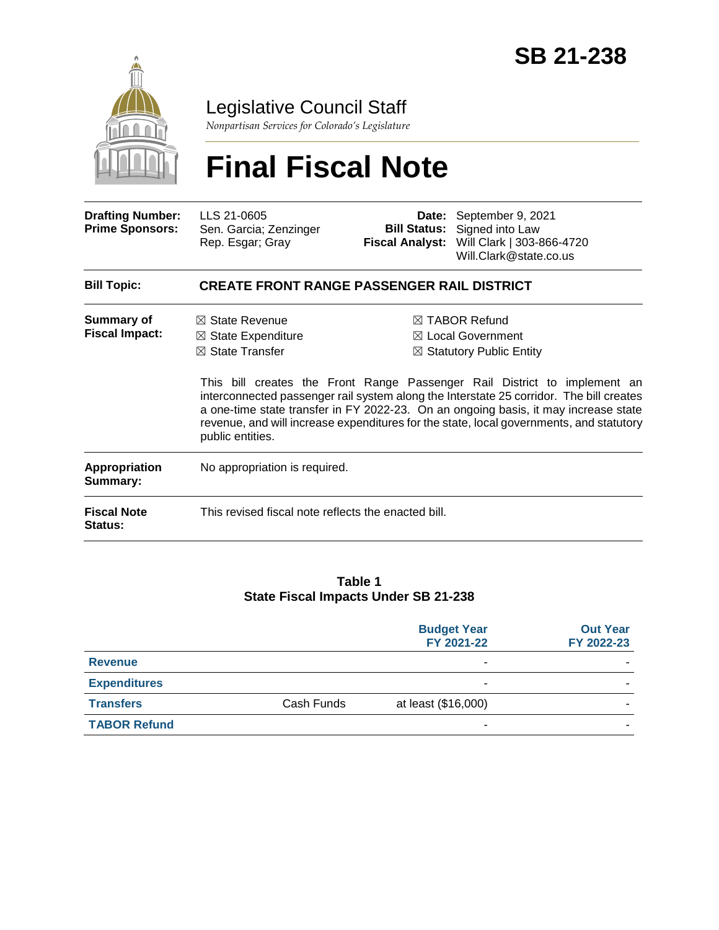

Legislative Council Staff

*Nonpartisan Services for Colorado's Legislature*

# **Final Fiscal Note**

| <b>Drafting Number:</b><br><b>Prime Sponsors:</b> | LLS 21-0605<br>Sen. Garcia; Zenzinger<br>Rep. Esgar; Gray                                                    | <b>Bill Status:</b><br><b>Fiscal Analyst:</b> | Date: September 9, 2021<br>Signed into Law<br>Will Clark   303-866-4720<br>Will.Clark@state.co.us                                                                                                                                                                                                                                                                                                                                               |  |  |
|---------------------------------------------------|--------------------------------------------------------------------------------------------------------------|-----------------------------------------------|-------------------------------------------------------------------------------------------------------------------------------------------------------------------------------------------------------------------------------------------------------------------------------------------------------------------------------------------------------------------------------------------------------------------------------------------------|--|--|
| <b>Bill Topic:</b>                                | <b>CREATE FRONT RANGE PASSENGER RAIL DISTRICT</b>                                                            |                                               |                                                                                                                                                                                                                                                                                                                                                                                                                                                 |  |  |
| <b>Summary of</b><br><b>Fiscal Impact:</b>        | $\boxtimes$ State Revenue<br>$\boxtimes$ State Expenditure<br>$\boxtimes$ State Transfer<br>public entities. |                                               | ⊠ TABOR Refund<br>$\boxtimes$ Local Government<br>$\boxtimes$ Statutory Public Entity<br>This bill creates the Front Range Passenger Rail District to implement an<br>interconnected passenger rail system along the Interstate 25 corridor. The bill creates<br>a one-time state transfer in FY 2022-23. On an ongoing basis, it may increase state<br>revenue, and will increase expenditures for the state, local governments, and statutory |  |  |
| Appropriation<br>Summary:                         | No appropriation is required.                                                                                |                                               |                                                                                                                                                                                                                                                                                                                                                                                                                                                 |  |  |
| <b>Fiscal Note</b><br><b>Status:</b>              | This revised fiscal note reflects the enacted bill.                                                          |                                               |                                                                                                                                                                                                                                                                                                                                                                                                                                                 |  |  |

#### **Table 1 State Fiscal Impacts Under SB 21-238**

|                     |            | <b>Budget Year</b><br>FY 2021-22 | <b>Out Year</b><br>FY 2022-23 |
|---------------------|------------|----------------------------------|-------------------------------|
| <b>Revenue</b>      |            | ۰                                |                               |
| <b>Expenditures</b> |            | ۰                                |                               |
| <b>Transfers</b>    | Cash Funds | at least (\$16,000)              |                               |
| <b>TABOR Refund</b> |            | ۰                                |                               |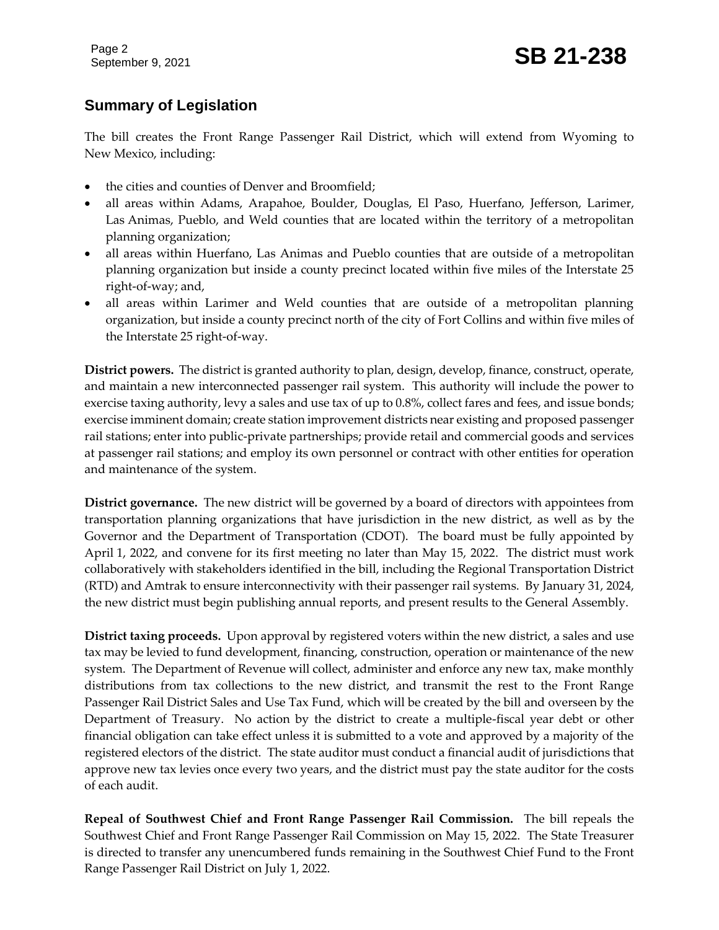# **Summary of Legislation**

The bill creates the Front Range Passenger Rail District, which will extend from Wyoming to New Mexico, including:

- the cities and counties of Denver and Broomfield;
- all areas within Adams, Arapahoe, Boulder, Douglas, El Paso, Huerfano, Jefferson, Larimer, Las Animas, Pueblo, and Weld counties that are located within the territory of a metropolitan planning organization;
- all areas within Huerfano, Las Animas and Pueblo counties that are outside of a metropolitan planning organization but inside a county precinct located within five miles of the Interstate 25 right-of-way; and,
- all areas within Larimer and Weld counties that are outside of a metropolitan planning organization, but inside a county precinct north of the city of Fort Collins and within five miles of the Interstate 25 right-of-way.

**District powers.** The district is granted authority to plan, design, develop, finance, construct, operate, and maintain a new interconnected passenger rail system. This authority will include the power to exercise taxing authority, levy a sales and use tax of up to 0.8%, collect fares and fees, and issue bonds; exercise imminent domain; create station improvement districts near existing and proposed passenger rail stations; enter into public-private partnerships; provide retail and commercial goods and services at passenger rail stations; and employ its own personnel or contract with other entities for operation and maintenance of the system.

**District governance.** The new district will be governed by a board of directors with appointees from transportation planning organizations that have jurisdiction in the new district, as well as by the Governor and the Department of Transportation (CDOT). The board must be fully appointed by April 1, 2022, and convene for its first meeting no later than May 15, 2022. The district must work collaboratively with stakeholders identified in the bill, including the Regional Transportation District (RTD) and Amtrak to ensure interconnectivity with their passenger rail systems. By January 31, 2024, the new district must begin publishing annual reports, and present results to the General Assembly.

**District taxing proceeds.** Upon approval by registered voters within the new district, a sales and use tax may be levied to fund development, financing, construction, operation or maintenance of the new system. The Department of Revenue will collect, administer and enforce any new tax, make monthly distributions from tax collections to the new district, and transmit the rest to the Front Range Passenger Rail District Sales and Use Tax Fund, which will be created by the bill and overseen by the Department of Treasury. No action by the district to create a multiple-fiscal year debt or other financial obligation can take effect unless it is submitted to a vote and approved by a majority of the registered electors of the district. The state auditor must conduct a financial audit of jurisdictions that approve new tax levies once every two years, and the district must pay the state auditor for the costs of each audit.

**Repeal of Southwest Chief and Front Range Passenger Rail Commission.** The bill repeals the Southwest Chief and Front Range Passenger Rail Commission on May 15, 2022. The State Treasurer is directed to transfer any unencumbered funds remaining in the Southwest Chief Fund to the Front Range Passenger Rail District on July 1, 2022.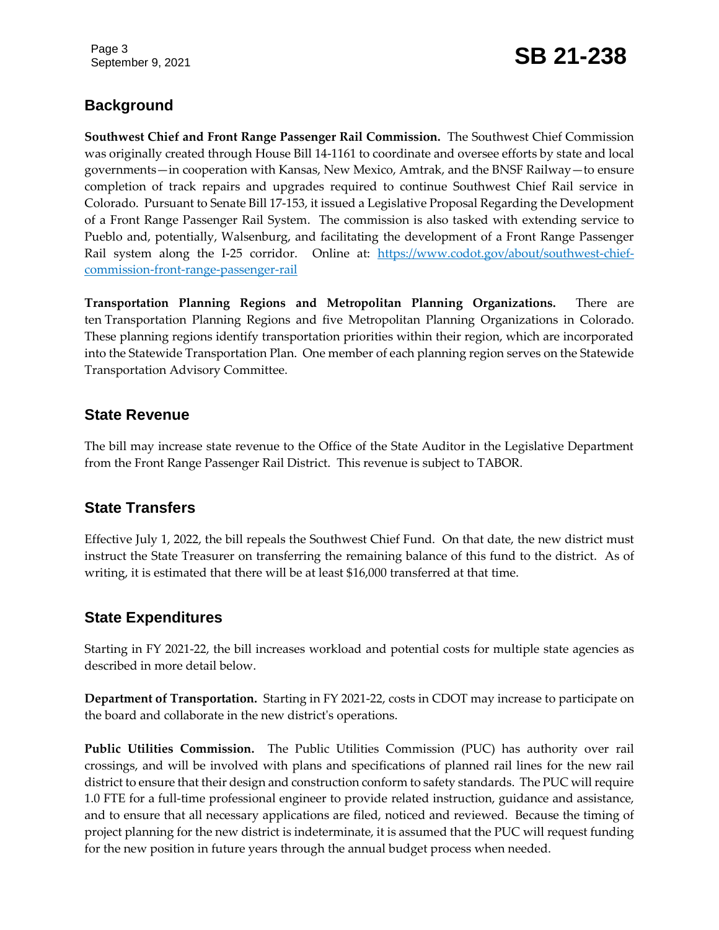Page 3

# September 9, 2021 **SB 21-238**

# **Background**

**Southwest Chief and Front Range Passenger Rail Commission.** The Southwest Chief Commission was originally created through House Bill 14-1161 to coordinate and oversee efforts by state and local governments—in cooperation with Kansas, New Mexico, Amtrak, and the BNSF Railway—to ensure completion of track repairs and upgrades required to continue Southwest Chief Rail service in Colorado. Pursuant to Senate Bill 17-153, it issued a Legislative Proposal Regarding the Development of a Front Range Passenger Rail System. The commission is also tasked with extending service to Pueblo and, potentially, Walsenburg, and facilitating the development of a Front Range Passenger Rail system along the I-25 corridor. Online at: [https://www.codot.gov/about/southwest-chief](https://www.codot.gov/about/southwest-chief-commission-front-range-passenger-rail)[commission-front-range-passenger-rail](https://www.codot.gov/about/southwest-chief-commission-front-range-passenger-rail)

**Transportation Planning Regions and Metropolitan Planning Organizations.** There are ten Transportation Planning Regions and five Metropolitan Planning Organizations in Colorado. These planning regions identify transportation priorities within their region, which are incorporated into the Statewide Transportation Plan. One member of each planning region serves on the Statewide Transportation Advisory Committee.

#### **State Revenue**

The bill may increase state revenue to the Office of the State Auditor in the Legislative Department from the Front Range Passenger Rail District. This revenue is subject to TABOR.

#### **State Transfers**

Effective July 1, 2022, the bill repeals the Southwest Chief Fund. On that date, the new district must instruct the State Treasurer on transferring the remaining balance of this fund to the district. As of writing, it is estimated that there will be at least \$16,000 transferred at that time.

#### **State Expenditures**

Starting in FY 2021-22, the bill increases workload and potential costs for multiple state agencies as described in more detail below.

**Department of Transportation.** Starting in FY 2021-22, costs in CDOT may increase to participate on the board and collaborate in the new district's operations.

**Public Utilities Commission.** The Public Utilities Commission (PUC) has authority over rail crossings, and will be involved with plans and specifications of planned rail lines for the new rail district to ensure that their design and construction conform to safety standards. The PUC will require 1.0 FTE for a full-time professional engineer to provide related instruction, guidance and assistance, and to ensure that all necessary applications are filed, noticed and reviewed. Because the timing of project planning for the new district is indeterminate, it is assumed that the PUC will request funding for the new position in future years through the annual budget process when needed.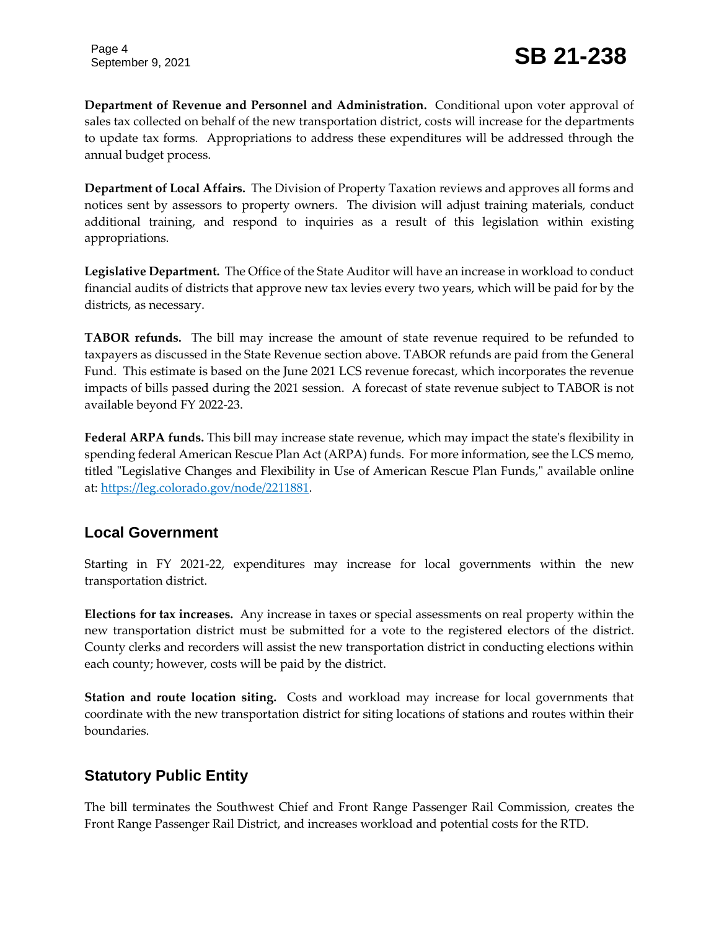**Department of Revenue and Personnel and Administration.** Conditional upon voter approval of sales tax collected on behalf of the new transportation district, costs will increase for the departments to update tax forms. Appropriations to address these expenditures will be addressed through the annual budget process.

**Department of Local Affairs.** The Division of Property Taxation reviews and approves all forms and notices sent by assessors to property owners. The division will adjust training materials, conduct additional training, and respond to inquiries as a result of this legislation within existing appropriations.

**Legislative Department.** The Office of the State Auditor will have an increase in workload to conduct financial audits of districts that approve new tax levies every two years, which will be paid for by the districts, as necessary.

**TABOR refunds.** The bill may increase the amount of state revenue required to be refunded to taxpayers as discussed in the State Revenue section above. TABOR refunds are paid from the General Fund. This estimate is based on the June 2021 LCS revenue forecast, which incorporates the revenue impacts of bills passed during the 2021 session. A forecast of state revenue subject to TABOR is not available beyond FY 2022-23.

**Federal ARPA funds.** This bill may increase state revenue, which may impact the state's flexibility in spending federal American Rescue Plan Act (ARPA) funds. For more information, see the LCS memo, titled "Legislative Changes and Flexibility in Use of American Rescue Plan Funds," available online at: [https://leg.colorado.gov/node/2211881.](https://leg.colorado.gov/node/2211881)

## **Local Government**

Starting in FY 2021-22, expenditures may increase for local governments within the new transportation district.

**Elections for tax increases.** Any increase in taxes or special assessments on real property within the new transportation district must be submitted for a vote to the registered electors of the district. County clerks and recorders will assist the new transportation district in conducting elections within each county; however, costs will be paid by the district.

**Station and route location siting.** Costs and workload may increase for local governments that coordinate with the new transportation district for siting locations of stations and routes within their boundaries.

#### **Statutory Public Entity**

The bill terminates the Southwest Chief and Front Range Passenger Rail Commission, creates the Front Range Passenger Rail District, and increases workload and potential costs for the RTD.